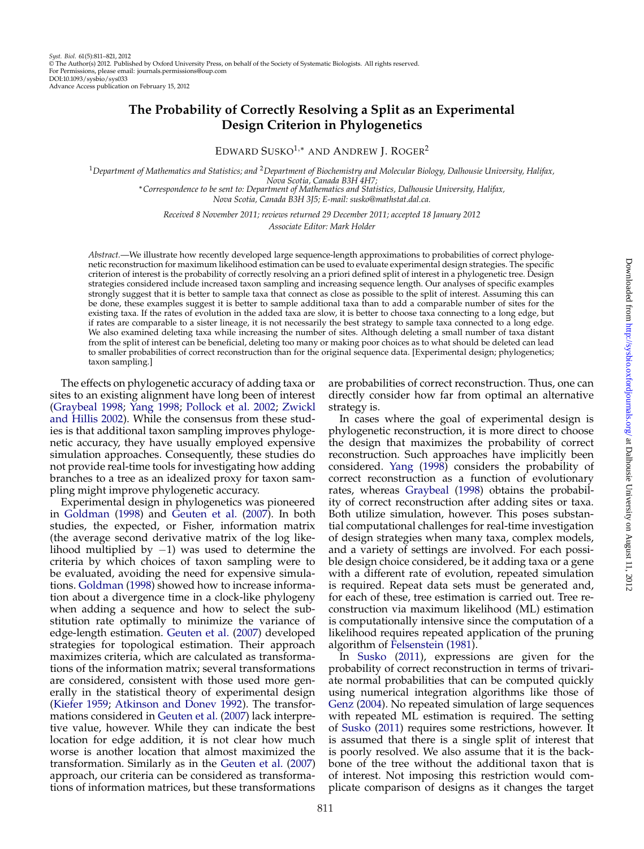# **The Probability of Correctly Resolving a Split as an Experimental Design Criterion in Phylogenetics**

EDWARD SUSKO1,<sup>∗</sup> AND ANDREW J. ROGER<sup>2</sup>

<sup>1</sup>*Department of Mathematics and Statistics; and* <sup>2</sup>*Department of Biochemistry and Molecular Biology, Dalhousie University, Halifax, Nova Scotia, Canada B3H 4H7;* ∗*Correspondence to be sent to: Department of Mathematics and Statistics, Dalhousie University, Halifax,*

*Nova Scotia, Canada B3H 3J5; E-mail: susko@mathstat.dal.ca.*

*Received 8 November 2011; reviews returned 29 December 2011; accepted 18 January 2012*

*Associate Editor: Mark Holder*

*Abstract.*—We illustrate how recently developed large sequence-length approximations to probabilities of correct phylogenetic reconstruction for maximum likelihood estimation can be used to evaluate experimental design strategies. The specific criterion of interest is the probability of correctly resolving an a priori defined split of interest in a phylogenetic tree. Design strategies considered include increased taxon sampling and increasing sequence length. Our analyses of specific examples strongly suggest that it is better to sample taxa that connect as close as possible to the split of interest. Assuming this can be done, these examples suggest it is better to sample additional taxa than to add a comparable number of sites for the existing taxa. If the rates of evolution in the added taxa are slow, it is better to choose taxa connecting to a long edge, but if rates are comparable to a sister lineage, it is not necessarily the best strategy to sample taxa connected to a long edge. We also examined deleting taxa while increasing the number of sites. Although deleting a small number of taxa distant from the split of interest can be beneficial, deleting too many or making poor choices as to what should be deleted can lead to smaller probabilities of correct reconstruction than for the original sequence data. [Experimental design; phylogenetics; taxon sampling.]

The effects on phylogenetic accuracy of adding taxa or sites to an existing alignment have long been of interest [\(Graybeal 1998](#page-10-0); [Yang 1998](#page-10-0); [Pollock et al. 2002](#page-10-0); [Zwickl](#page-10-0) [and Hillis 2002\)](#page-10-0). While the consensus from these studies is that additional taxon sampling improves phylogenetic accuracy, they have usually employed expensive simulation approaches. Consequently, these studies do not provide real-time tools for investigating how adding branches to a tree as an idealized proxy for taxon sampling might improve phylogenetic accuracy.

Experimental design in phylogenetics was pioneered in [Goldman](#page-10-0) [\(1998](#page-10-0)) and [Geuten et al.](#page-10-0) ([2007\)](#page-10-0). In both studies, the expected, or Fisher, information matrix (the average second derivative matrix of the log likelihood multiplied by  $-1$ ) was used to determine the criteria by which choices of taxon sampling were to be evaluated, avoiding the need for expensive simulations. [Goldman](#page-10-0) ([1998\)](#page-10-0) showed how to increase information about a divergence time in a clock-like phylogeny when adding a sequence and how to select the substitution rate optimally to minimize the variance of edge-length estimation. [Geuten et al.](#page-10-0) [\(2007](#page-10-0)) developed strategies for topological estimation. Their approach maximizes criteria, which are calculated as transformations of the information matrix; several transformations are considered, consistent with those used more generally in the statistical theory of experimental design [\(Kiefer 1959;](#page-10-0) [Atkinson and Donev 1992\)](#page-10-0). The transformations considered in [Geuten et al.](#page-10-0) ([2007\)](#page-10-0) lack interpretive value, however. While they can indicate the best location for edge addition, it is not clear how much worse is another location that almost maximized the transformation. Similarly as in the [Geuten et al.](#page-10-0) ([2007\)](#page-10-0) approach, our criteria can be considered as transformations of information matrices, but these transformations

are probabilities of correct reconstruction. Thus, one can directly consider how far from optimal an alternative strategy is.

In cases where the goal of experimental design is phylogenetic reconstruction, it is more direct to choose the design that maximizes the probability of correct reconstruction. Such approaches have implicitly been considered. [Yang](#page-10-0) [\(1998](#page-10-0)) considers the probability of correct reconstruction as a function of evolutionary rates, whereas [Graybeal](#page-10-0) ([1998\)](#page-10-0) obtains the probability of correct reconstruction after adding sites or taxa. Both utilize simulation, however. This poses substantial computational challenges for real-time investigation of design strategies when many taxa, complex models, and a variety of settings are involved. For each possible design choice considered, be it adding taxa or a gene with a different rate of evolution, repeated simulation is required. Repeat data sets must be generated and, for each of these, tree estimation is carried out. Tree reconstruction via maximum likelihood (ML) estimation is computationally intensive since the computation of a likelihood requires repeated application of the pruning algorithm of [Felsenstein](#page-10-0) [\(1981](#page-10-0)).

In [Susko](#page-10-0) ([2011\)](#page-10-0), expressions are given for the probability of correct reconstruction in terms of trivariate normal probabilities that can be computed quickly using numerical integration algorithms like those of [Genz](#page-10-0) [\(2004](#page-10-0)). No repeated simulation of large sequences with repeated ML estimation is required. The setting of [Susko](#page-10-0) [\(2011](#page-10-0)) requires some restrictions, however. It is assumed that there is a single split of interest that is poorly resolved. We also assume that it is the backbone of the tree without the additional taxon that is of interest. Not imposing this restriction would complicate comparison of designs as it changes the target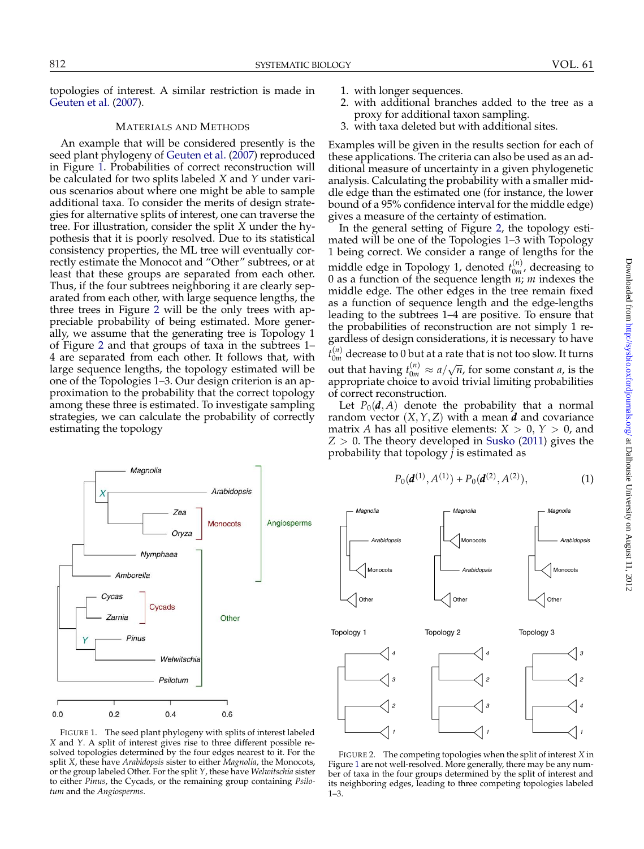### MATERIALS AND METHODS

<span id="page-1-0"></span>An example that will be considered presently is the seed plant phylogeny of [Geuten et al.](#page-10-0) [\(2007](#page-10-0)) reproduced in Figure 1. Probabilities of correct reconstruction will be calculated for two splits labeled *X* and *Y* under various scenarios about where one might be able to sample additional taxa. To consider the merits of design strategies for alternative splits of interest, one can traverse the tree. For illustration, consider the split *X* under the hypothesis that it is poorly resolved. Due to its statistical consistency properties, the ML tree will eventually correctly estimate the Monocot and "Other" subtrees, or at least that these groups are separated from each other. Thus, if the four subtrees neighboring it are clearly separated from each other, with large sequence lengths, the three trees in Figure 2 will be the only trees with appreciable probability of being estimated. More generally, we assume that the generating tree is Topology 1 of Figure 2 and that groups of taxa in the subtrees 1– 4 are separated from each other. It follows that, with large sequence lengths, the topology estimated will be one of the Topologies 1–3. Our design criterion is an approximation to the probability that the correct topology among these three is estimated. To investigate sampling strategies, we can calculate the probability of correctly estimating the topology



FIGURE 1. The seed plant phylogeny with splits of interest labeled *X* and *Y*. A split of interest gives rise to three different possible resolved topologies determined by the four edges nearest to it. For the split *X*, these have *Arabidopsis* sister to either *Magnolia*, the Monocots, or the group labeled Other. For the split *Y*, these have *Welwitschia* sister to either *Pinus*, the Cycads, or the remaining group containing *Psilotum* and the *Angiosperms*.

- 1. with longer sequences.
- 2. with additional branches added to the tree as a proxy for additional taxon sampling.
- 3. with taxa deleted but with additional sites.

Examples will be given in the results section for each of these applications. The criteria can also be used as an additional measure of uncertainty in a given phylogenetic analysis. Calculating the probability with a smaller middle edge than the estimated one (for instance, the lower bound of a 95% confidence interval for the middle edge) gives a measure of the certainty of estimation.

In the general setting of Figure 2, the topology estimated will be one of the Topologies 1–3 with Topology 1 being correct. We consider a range of lengths for the middle edge in Topology 1, denoted  $t_{0m}^{(n)}$ , decreasing to 0 as a function of the sequence length *n*; *m* indexes the middle edge. The other edges in the tree remain fixed as a function of sequence length and the edge-lengths leading to the subtrees 1–4 are positive. To ensure that the probabilities of reconstruction are not simply 1 regardless of design considerations, it is necessary to have  $t^{(n)}_{0m}$  decrease to  $0$  but at a rate that is not too slow. It turns out that having  $t_{0m}^{(n)} \approx a/\sqrt{n}$ , for some constant *a*, is the appropriate choice to avoid trivial limiting probabilities of correct reconstruction.

Let  $P_0(\boldsymbol{d}, A)$  denote the probability that a normal random vector  $(X, Y, Z)$  with a mean **d** and covariance matrix *A* has all positive elements:  $X > 0$ ,  $Y > 0$ , and *Z* > 0. The theory developed in [Susko](#page-10-0) ([2011\)](#page-10-0) gives the probability that topology *j* is estimated as

$$
P_0(\boldsymbol{d}^{(1)}, A^{(1)}) + P_0(\boldsymbol{d}^{(2)}, A^{(2)}),
$$
\n(1)



FIGURE 2. The competing topologies when the split of interest *X* in Figure 1 are not well-resolved. More generally, there may be any number of taxa in the four groups determined by the split of interest and its neighboring edges, leading to three competing topologies labeled 1–3.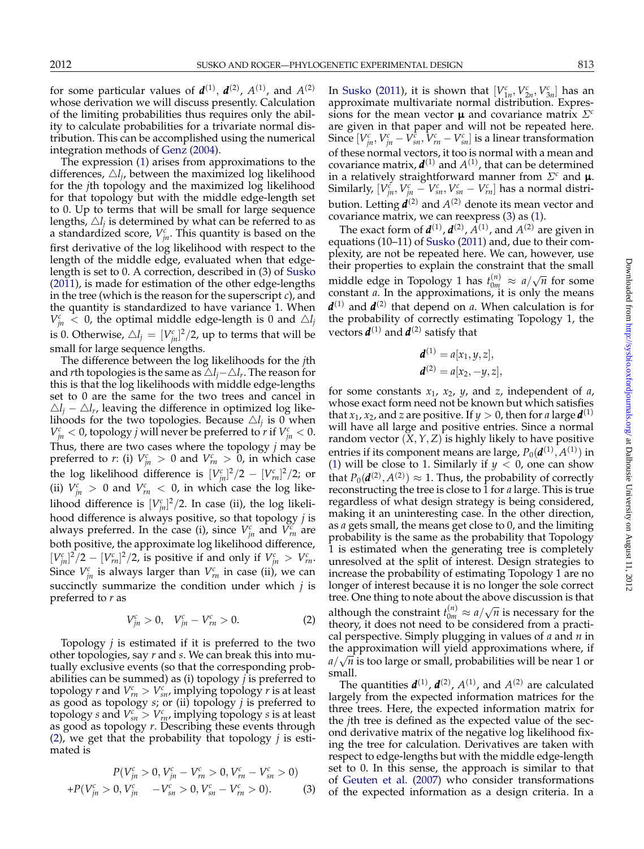for some particular values of  $d^{(1)}$ ,  $d^{(2)}$ ,  $A^{(1)}$ , and  $A^{(2)}$ whose derivation we will discuss presently. Calculation of the limiting probabilities thus requires only the ability to calculate probabilities for a trivariate normal distribution. This can be accomplished using the numerical integration methods of [Genz](#page-10-0) [\(2004](#page-10-0)).

The expression [\(1](#page-1-0)) arises from approximations to the differences,  $\Delta l_i$ , between the maximized log likelihood for the *j*th topology and the maximized log likelihood for that topology but with the middle edge-length set to 0. Up to terms that will be small for large sequence lengths,  $\Delta l_i$  is determined by what can be referred to as a standardized score, *V<sup>c</sup> jn*. This quantity is based on the first derivative of the log likelihood with respect to the length of the middle edge, evaluated when that edgelength is set to 0. A correction, described in (3) of [Susko](#page-10-0) [\(2011](#page-10-0)), is made for estimation of the other edge-lengths in the tree (which is the reason for the superscript *c*), and the quantity is standardized to have variance 1. When  $V_{jn}^c$   $\leq$  0, the optimal middle edge-length is 0 and  $\triangle l_j$ is 0. Otherwise,  $\Delta l_j = [V_{jn}^c]^2/2$ , up to terms that will be small for large sequence lengths.

The difference between the log likelihoods for the *j*th and *r*th topologies is the same as 4*lj*−4*lr*. The reason for this is that the log likelihoods with middle edge-lengths set to 0 are the same for the two trees and cancel in  $\Delta l_i - \Delta l_r$ , leaving the difference in optimized log likelihoods for the two topologies. Because  $\Delta l_i$  is 0 when  $V_{jn}^c$  < 0, topology *j* will never be preferred to *r* if  $V_{jn}^c$  < 0. Thus, there are two cases where the topology *j* may be preferred to *r*: (i)  $V_{in}^c > 0$  and  $V_{in}^c > 0$ , in which case the log likelihood difference is  $[V_{jn}^c]^2/2 - [V_{rn}^c]^2/2$ ; or (ii)  $V_{in}^c > 0$  and  $V_{in}^c < 0$ , in which case the log likelihood difference is  $[V_{jn}^c]^2/2$ . In case (ii), the log likelihood difference is always positive, so that topology *j* is always preferred. In the case (i), since  $V_{jn}^c$  and  $\tilde{V}_{rn}^c$  are both positive, the approximate log likelihood difference,  $[V_{jn}^c]^2/2 - [V_{rn}^c]^2/2$ , is positive if and only if  $V_{jn}^c > V_{rn}^c$ . Since  $V_{in}^c$  is always larger than  $V_{rn}^c$  in case (ii), we can succinctly summarize the condition under which *j* is preferred to *r* as

$$
V_{jn}^c > 0, \quad V_{jn}^c - V_{rn}^c > 0. \tag{2}
$$

Topology *j* is estimated if it is preferred to the two other topologies, say *r* and *s*. We can break this into mutually exclusive events (so that the corresponding probabilities can be summed) as (i) topology *j* is preferred to topology *r* and  $V_{rn}^c > V_{sn}^c$ , implying topology *r* is at least as good as topology *s*; or (ii) topology *j* is preferred to topology *s* and  $V_{sn}^c > V_{rn}^c$ , implying topology *s* is at least as good as topology *r*. Describing these events through (2), we get that the probability that topology *j* is estimated is

$$
P(V_{jn}^{c} > 0, V_{jn}^{c} - V_{rn}^{c} > 0, V_{rn}^{c} - V_{sn}^{c} > 0)
$$
  
+
$$
P(V_{jn}^{c} > 0, V_{jn}^{c} - V_{sn}^{c} > 0, V_{sn}^{c} - V_{rn}^{c} > 0).
$$
 (3)

In [Susko](#page-10-0) ([2011\)](#page-10-0), it is shown that  $[V_{1n}^c, V_{2n}^c, V_{3n}^c]$  has an approximate multivariate normal distribution. Expressions for the mean vector  $\mu$  and covariance matrix  $\Sigma^c$ are given in that paper and will not be repeated here.  ${\rm Since}~[V_{jn}^c,V_{jn}^c-V_{sn}^{\bar{c}},V_{rn}^c-V_{sn}^c]$  is a linear transformation of these normal vectors, it too is normal with a mean and covariance matrix,  $\boldsymbol{d}^{(1)}$  and  $A^{(1)}$ , that can be determined in a relatively straightforward manner from  $\Sigma^c$  and  $\mu$ . Similarly,  $[V_{jn}^{\tilde{c}},V_{jn}^c-\overline{V_{sn}^c},V_{sn}^c-V_{rn}^c]$  has a normal distribution. Letting  $\hat{d}^{(2)}$  and  $A^{(2)}$  denote its mean vector and covariance matrix, we can reexpress (3) as [\(1](#page-1-0)).

The exact form of  $\boldsymbol{d}^{(1)}$ ,  $\boldsymbol{d}^{(2)}$ ,  $A^{(1)}$ , and  $A^{(2)}$  are given in equations (10–11) of [Susko](#page-10-0) ([2011\)](#page-10-0) and, due to their complexity, are not be repeated here. We can, however, use their properties to explain the constraint that the small middle edge in Topology 1 has  $t_{0m}^{(n)} \approx a/\sqrt{n}$  for some constant *a*. In the approximations, it is only the means  $d^{(1)}$  and  $d^{(2)}$  that depend on *a*. When calculation is for the probability of correctly estimating Topology 1, the vectors  $\boldsymbol{d}^{(1)}$  and  $\boldsymbol{d}^{(2)}$  satisfy that

$$
d^{(1)} = a[x_1, y, z],
$$
  

$$
d^{(2)} = a[x_2, -y, z],
$$

for some constants  $x_1$ ,  $x_2$ ,  $y$ , and  $z$ , independent of  $a$ , whose exact form need not be known but which satisfies that  $x_1$ ,  $x_2$ , and *z* are positive. If  $y > 0$ , then for *a* large  $d^{(1)}$ will have all large and positive entries. Since a normal random vector  $(X, Y, Z)$  is highly likely to have positive entries if its component means are large*,*  $P_0(\boldsymbol{d}^{(1)},A^{(1)})$  in [\(1](#page-1-0)) will be close to 1. Similarly if  $y < 0$ , one can show that  $P_0(\boldsymbol{d}^{(2)}, A^{(2)}) \approx 1$ . Thus, the probability of correctly reconstructing the tree is close to  $\overline{1}$  for *a* large. This is true regardless of what design strategy is being considered, making it an uninteresting case. In the other direction, as *a* gets small, the means get close to 0, and the limiting probability is the same as the probability that Topology 1 is estimated when the generating tree is completely unresolved at the split of interest. Design strategies to increase the probability of estimating Topology 1 are no longer of interest because it is no longer the sole correct tree. One thing to note about the above discussion is that although the constraint  $t_{0m}^{(n)} \approx a/\sqrt{n}$  is necessary for the theory, it does not need to be considered from a practical perspective. Simply plugging in values of *a* and *n* in the approximation will yield approximations where, if  $a/\sqrt{n}$  is too large or small, probabilities will be near 1 or small.

The quantities  $\boldsymbol{d}^{(1)}$ ,  $\boldsymbol{d}^{(2)}$ ,  $A^{(1)}$ , and  $A^{(2)}$  are calculated largely from the expected information matrices for the three trees. Here, the expected information matrix for the *j*th tree is defined as the expected value of the second derivative matrix of the negative log likelihood fixing the tree for calculation. Derivatives are taken with respect to edge-lengths but with the middle edge-length set to 0. In this sense, the approach is similar to that of [Geuten et al.](#page-10-0) [\(2007\)](#page-10-0) who consider transformations of the expected information as a design criteria. In a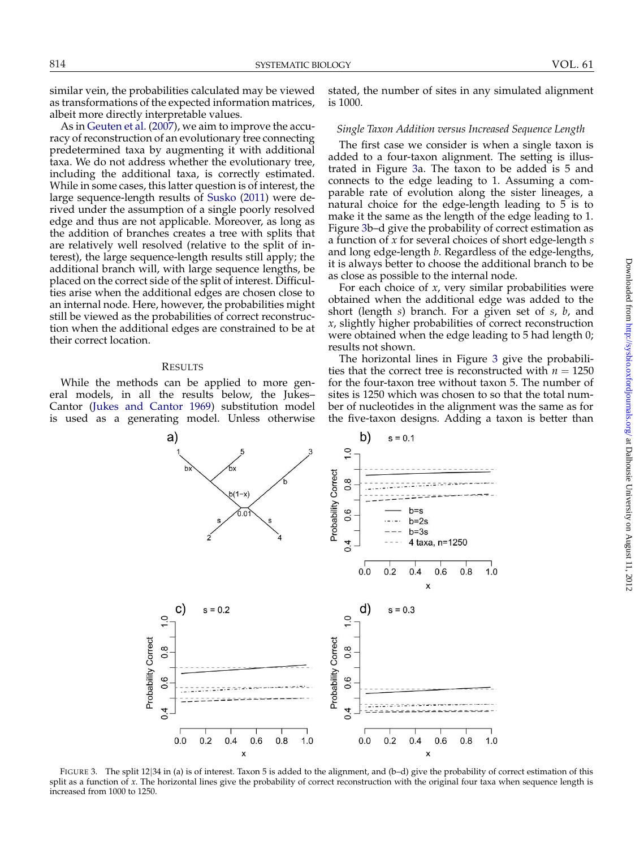<span id="page-3-0"></span>similar vein, the probabilities calculated may be viewed as transformations of the expected information matrices, albeit more directly interpretable values.

As in [Geuten et al.](#page-10-0) [\(2007](#page-10-0)), we aim to improve the accuracy of reconstruction of an evolutionary tree connecting predetermined taxa by augmenting it with additional taxa. We do not address whether the evolutionary tree, including the additional taxa, is correctly estimated. While in some cases, this latter question is of interest, the large sequence-length results of [Susko](#page-10-0) ([2011\)](#page-10-0) were derived under the assumption of a single poorly resolved edge and thus are not applicable. Moreover, as long as the addition of branches creates a tree with splits that are relatively well resolved (relative to the split of interest), the large sequence-length results still apply; the additional branch will, with large sequence lengths, be placed on the correct side of the split of interest. Difficulties arise when the additional edges are chosen close to an internal node. Here, however, the probabilities might still be viewed as the probabilities of correct reconstruction when the additional edges are constrained to be at their correct location.

## **RESULTS**

While the methods can be applied to more general models, in all the results below, the Jukes– Cantor ([Jukes and Cantor 1969\)](#page-10-0) substitution model is used as a generating model. Unless otherwise stated, the number of sites in any simulated alignment is 1000.

# *Single Taxon Addition versus Increased Sequence Length*

The first case we consider is when a single taxon is added to a four-taxon alignment. The setting is illustrated in Figure 3a. The taxon to be added is 5 and connects to the edge leading to 1. Assuming a comparable rate of evolution along the sister lineages, a natural choice for the edge-length leading to 5 is to make it the same as the length of the edge leading to 1. Figure 3b–d give the probability of correct estimation as a function of *x* for several choices of short edge-length *s* and long edge-length *b*. Regardless of the edge-lengths, it is always better to choose the additional branch to be as close as possible to the internal node.

For each choice of *x*, very similar probabilities were obtained when the additional edge was added to the short (length *s*) branch. For a given set of *s*, *b*, and *x*, slightly higher probabilities of correct reconstruction were obtained when the edge leading to 5 had length 0; results not shown.

The horizontal lines in Figure 3 give the probabilities that the correct tree is reconstructed with  $n = 1250$ for the four-taxon tree without taxon 5. The number of sites is 1250 which was chosen to so that the total number of nucleotides in the alignment was the same as for the five-taxon designs. Adding a taxon is better than



FIGURE 3. The split 12|34 in (a) is of interest. Taxon 5 is added to the alignment, and (b–d) give the probability of correct estimation of this split as a function of *x*. The horizontal lines give the probability of correct reconstruction with the original four taxa when sequence length is increased from 1000 to 1250.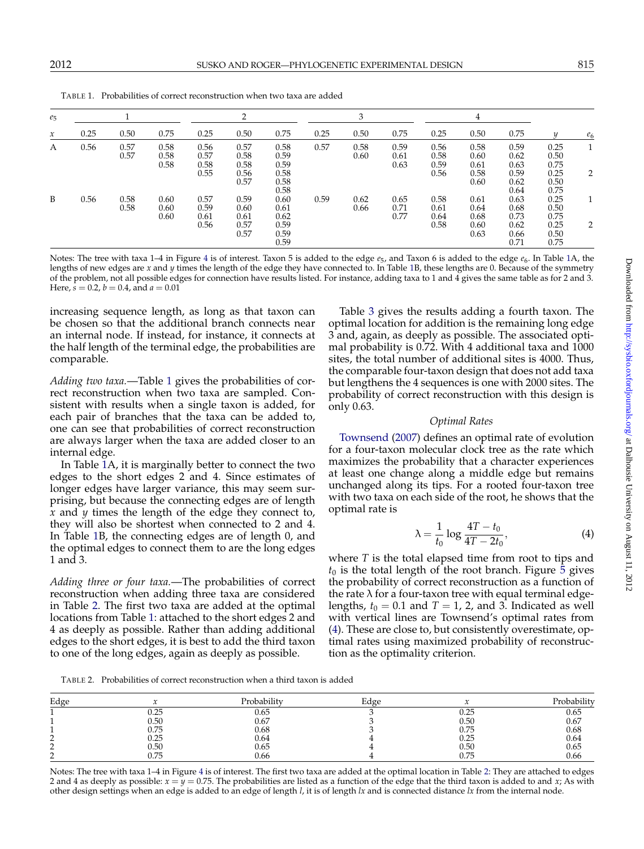| $e_5$<br>$\mathcal X$ |      |              |                      | ∍                            |                                      | 3                                            |      | 4            |                      |                              |                                      |                                              |                                              |        |
|-----------------------|------|--------------|----------------------|------------------------------|--------------------------------------|----------------------------------------------|------|--------------|----------------------|------------------------------|--------------------------------------|----------------------------------------------|----------------------------------------------|--------|
|                       | 0.25 | 0.50         | 0.75                 | 0.25                         | 0.50                                 | 0.75                                         | 0.25 | 0.50         | 0.75                 | 0.25                         | 0.50                                 | 0.75                                         | $\boldsymbol{u}$                             | $e_6$  |
| A                     | 0.56 | 0.57<br>0.57 | 0.58<br>0.58<br>0.58 | 0.56<br>0.57<br>0.58<br>0.55 | 0.57<br>0.58<br>0.58<br>0.56<br>0.57 | 0.58<br>0.59<br>0.59<br>0.58<br>0.58<br>0.58 | 0.57 | 0.58<br>0.60 | 0.59<br>0.61<br>0.63 | 0.56<br>0.58<br>0.59<br>0.56 | 0.58<br>0.60<br>0.61<br>0.58<br>0.60 | 0.59<br>0.62<br>0.63<br>0.59<br>0.62<br>0.64 | 0.25<br>0.50<br>0.75<br>0.25<br>0.50<br>0.75 | 1<br>2 |
| B                     | 0.56 | 0.58<br>0.58 | 0.60<br>0.60<br>0.60 | 0.57<br>0.59<br>0.61<br>0.56 | 0.59<br>0.60<br>0.61<br>0.57<br>0.57 | 0.60<br>0.61<br>0.62<br>0.59<br>0.59<br>0.59 | 0.59 | 0.62<br>0.66 | 0.65<br>0.71<br>0.77 | 0.58<br>0.61<br>0.64<br>0.58 | 0.61<br>0.64<br>0.68<br>0.60<br>0.63 | 0.63<br>0.68<br>0.73<br>0.62<br>0.66<br>0.71 | 0.25<br>0.50<br>0.75<br>0.25<br>0.50<br>0.75 | 1<br>2 |

<span id="page-4-0"></span>TABLE 1. Probabilities of correct reconstruction when two taxa are added

Notes: The tree with taxa 1–[4](#page-5-0) in Figure 4 is of interest. Taxon 5 is added to the edge  $e_5$ , and Taxon 6 is added to the edge  $e_6$ . In Table 1A, the lengths of new edges are *x* and *y* times the length of the edge they have connected to. In Table 1B, these lengths are 0. Because of the symmetry of the problem, not all possible edges for connection have results listed. For instance, adding taxa to 1 and 4 gives the same table as for 2 and 3. Here,  $s = 0.2$ ,  $b = 0.4$ , and  $a = 0.01$ 

increasing sequence length, as long as that taxon can be chosen so that the additional branch connects near an internal node. If instead, for instance, it connects at the half length of the terminal edge, the probabilities are comparable.

*Adding two taxa.*—Table 1 gives the probabilities of correct reconstruction when two taxa are sampled. Consistent with results when a single taxon is added, for each pair of branches that the taxa can be added to, one can see that probabilities of correct reconstruction are always larger when the taxa are added closer to an internal edge.

In Table 1A, it is marginally better to connect the two edges to the short edges 2 and 4. Since estimates of longer edges have larger variance, this may seem surprising, but because the connecting edges are of length *x* and *y* times the length of the edge they connect to, they will also be shortest when connected to 2 and 4. In Table 1B, the connecting edges are of length 0, and the optimal edges to connect them to are the long edges 1 and 3.

*Adding three or four taxa.*—The probabilities of correct reconstruction when adding three taxa are considered in Table 2. The first two taxa are added at the optimal locations from Table 1: attached to the short edges 2 and 4 as deeply as possible. Rather than adding additional edges to the short edges, it is best to add the third taxon to one of the long edges, again as deeply as possible.

Table [3](#page-5-0) gives the results adding a fourth taxon. The optimal location for addition is the remaining long edge 3 and, again, as deeply as possible. The associated optimal probability is 0.72. With 4 additional taxa and 1000 sites, the total number of additional sites is 4000. Thus, the comparable four-taxon design that does not add taxa but lengthens the 4 sequences is one with 2000 sites. The probability of correct reconstruction with this design is only 0.63.

### *Optimal Rates*

[Townsend](#page-10-0) ([2007\)](#page-10-0) defines an optimal rate of evolution for a four-taxon molecular clock tree as the rate which maximizes the probability that a character experiences at least one change along a middle edge but remains unchanged along its tips. For a rooted four-taxon tree with two taxa on each side of the root, he shows that the optimal rate is

$$
\lambda = \frac{1}{t_0} \log \frac{4T - t_0}{4T - 2t_0},\tag{4}
$$

where *T* is the total elapsed time from root to tips and  $t_0$  is the total length of the root branch. Figure [5](#page-5-0) gives the probability of correct reconstruction as a function of the rate  $\lambda$  for a four-taxon tree with equal terminal edgelengths,  $t_0 = 0.1$  and  $T = 1$ , 2, and 3. Indicated as well with vertical lines are Townsend's optimal rates from (4). These are close to, but consistently overestimate, optimal rates using maximized probability of reconstruction as the optimality criterion.

TABLE 2. Probabilities of correct reconstruction when a third taxon is added

| Edge |      | Probability | Edge |              | Probability |
|------|------|-------------|------|--------------|-------------|
|      | 0.25 | 0.65        |      | በ ንፍ<br>U.ZJ | 0.65        |
|      | 0.50 | 0.67        |      | 0.50         | 0.67        |
|      | 0.75 | 0.68        |      | 0.75         | 0.68        |
|      | 0.25 | 0.64        |      | 0.25         | 0.64        |
|      | 0.50 | 0.65        |      | 0.50         | 0.65        |
|      | 0.75 | 0.66        |      | J/J          | 0.66        |

Notes: The tree with taxa 1–4 in Figure [4](#page-5-0) is of interest. The first two taxa are added at the optimal location in Table 2: They are attached to edges 2 and 4 as deeply as possible:  $x = y = 0.75$ . The probabilities are listed as a function of the edge that the third taxon is added to and *x*; As with other design settings when an edge is added to an edge of length *l*, it is of length *lx* and is connected distance *lx* from the internal node.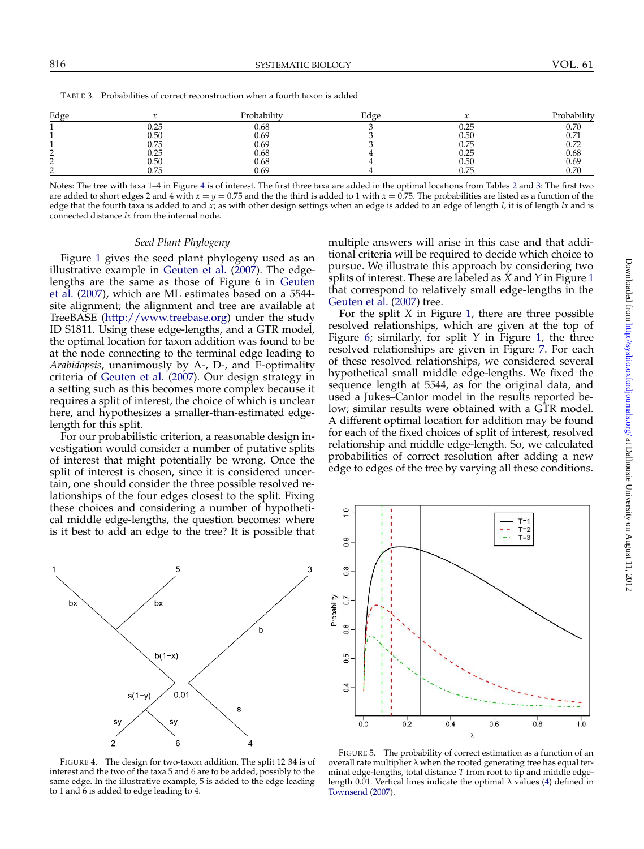| Edge |              | Probability | Edge |                              | Probability |
|------|--------------|-------------|------|------------------------------|-------------|
|      | በ ገ⊑<br>∪⊶∠∪ | 0.68        |      | U.Z.                         | 0.70        |
|      | 0.50         | 0.69        |      | 0.50                         | ים ה        |
|      | 0.75         | 0.69        |      | 0.75                         | 0.72        |
|      | 0.25         | 0.68        |      | $\sim$ $\sim$ $\sim$<br>U.Z5 | 0.68        |
|      | 0.50         | 0.68        |      | J.50                         | 0.69        |
|      | 0.75         | 0.69        |      |                              | 0.70        |

<span id="page-5-0"></span>TABLE 3. Probabilities of correct reconstruction when a fourth taxon is added

Notes: The tree with taxa 1–4 in Figure 4 is of interest. The first three taxa are added in the optimal locations from Tables [2](#page-4-0) and 3: The first two are added to short edges 2 and 4 with  $x = y = 0.75$  and the the third is added to 1 with  $x = 0.75$ . The probabilities are listed as a function of the edge that the fourth taxa is added to and *x*; as with other design settings when an edge is added to an edge of length *l*, it is of length *lx* and is connected distance *lx* from the internal node.

### *Seed Plant Phylogeny*

Figure [1](#page-1-0) gives the seed plant phylogeny used as an illustrative example in [Geuten et al.](#page-10-0) [\(2007](#page-10-0)). The edgelengths are the same as those of Figure 6 in [Geuten](#page-10-0) [et al.](#page-10-0) ([2007](#page-10-0)), which are ML estimates based on a 5544 site alignment; the alignment and tree are available at TreeBASE ([http://www.treebase.org\)](http://www.treebase.org) under the study ID S1811. Using these edge-lengths, and a GTR model, the optimal location for taxon addition was found to be at the node connecting to the terminal edge leading to *Arabidopsis*, unanimously by A-, D-, and E-optimality criteria of [Geuten et al.](#page-10-0) ([2007\)](#page-10-0). Our design strategy in a setting such as this becomes more complex because it requires a split of interest, the choice of which is unclear here, and hypothesizes a smaller-than-estimated edgelength for this split.

For our probabilistic criterion, a reasonable design investigation would consider a number of putative splits of interest that might potentially be wrong. Once the split of interest is chosen, since it is considered uncertain, one should consider the three possible resolved relationships of the four edges closest to the split. Fixing these choices and considering a number of hypothetical middle edge-lengths, the question becomes: where is it best to add an edge to the tree? It is possible that



FIGURE 4. The design for two-taxon addition. The split 12|34 is of interest and the two of the taxa 5 and 6 are to be added, possibly to the same edge. In the illustrative example, 5 is added to the edge leading to 1 and 6 is added to edge leading to 4.

multiple answers will arise in this case and that additional criteria will be required to decide which choice to pursue. We illustrate this approach by considering two splits of interest. These are labeled as *X* and *Y* in Figure [1](#page-1-0) that correspond to relatively small edge-lengths in the [Geuten et al.](#page-10-0) [\(2007](#page-10-0)) tree.

For the split *X* in Figure [1,](#page-1-0) there are three possible resolved relationships, which are given at the top of Figure [6](#page-6-0); similarly, for split *Y* in Figure [1](#page-1-0), the three resolved relationships are given in Figure [7](#page-7-0). For each of these resolved relationships, we considered several hypothetical small middle edge-lengths. We fixed the sequence length at 5544, as for the original data, and used a Jukes–Cantor model in the results reported below; similar results were obtained with a GTR model. A different optimal location for addition may be found for each of the fixed choices of split of interest, resolved relationship and middle edge-length. So, we calculated probabilities of correct resolution after adding a new edge to edges of the tree by varying all these conditions.



FIGURE 5. The probability of correct estimation as a function of an overall rate multiplier λ when the rooted generating tree has equal terminal edge-lengths, total distance *T* from root to tip and middle edgelength 0.01. Vertical lines indicate the optimal  $\lambda$  values ([4\)](#page-4-0) defined in [Townsend](#page-10-0) [\(2007\)](#page-10-0).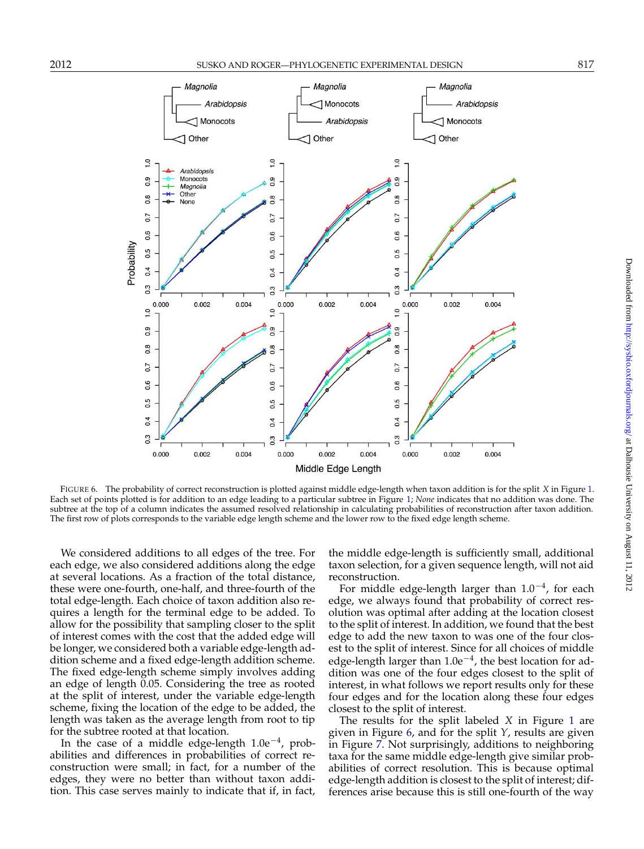<span id="page-6-0"></span>

FIGURE 6. The probability of correct reconstruction is plotted against middle edge-length when taxon addition is for the split *X* in Figure [1](#page-1-0). Each set of points plotted is for addition to an edge leading to a particular subtree in Figure [1](#page-1-0); *None* indicates that no addition was done. The subtree at the top of a column indicates the assumed resolved relationship in calculating probabilities of reconstruction after taxon addition. The first row of plots corresponds to the variable edge length scheme and the lower row to the fixed edge length scheme.

We considered additions to all edges of the tree. For each edge, we also considered additions along the edge at several locations. As a fraction of the total distance, these were one-fourth, one-half, and three-fourth of the total edge-length. Each choice of taxon addition also requires a length for the terminal edge to be added. To allow for the possibility that sampling closer to the split of interest comes with the cost that the added edge will be longer, we considered both a variable edge-length addition scheme and a fixed edge-length addition scheme. The fixed edge-length scheme simply involves adding an edge of length 0.05. Considering the tree as rooted at the split of interest, under the variable edge-length scheme, fixing the location of the edge to be added, the length was taken as the average length from root to tip for the subtree rooted at that location.

In the case of a middle edge-length  $1.0e^{-4}$ , probabilities and differences in probabilities of correct reconstruction were small; in fact, for a number of the edges, they were no better than without taxon addition. This case serves mainly to indicate that if, in fact,

the middle edge-length is sufficiently small, additional taxon selection, for a given sequence length, will not aid reconstruction.

For middle edge-length larger than  $1.0^{-4}$ , for each edge, we always found that probability of correct resolution was optimal after adding at the location closest to the split of interest. In addition, we found that the best edge to add the new taxon to was one of the four closest to the split of interest. Since for all choices of middle edge-length larger than 1.0e−4, the best location for addition was one of the four edges closest to the split of interest, in what follows we report results only for these four edges and for the location along these four edges closest to the split of interest.

The results for the split labeled *X* in Figure [1](#page-1-0) are given in Figure 6, and for the split *Y*, results are given in Figure [7](#page-7-0). Not surprisingly, additions to neighboring taxa for the same middle edge-length give similar probabilities of correct resolution. This is because optimal edge-length addition is closest to the split of interest; differences arise because this is still one-fourth of the way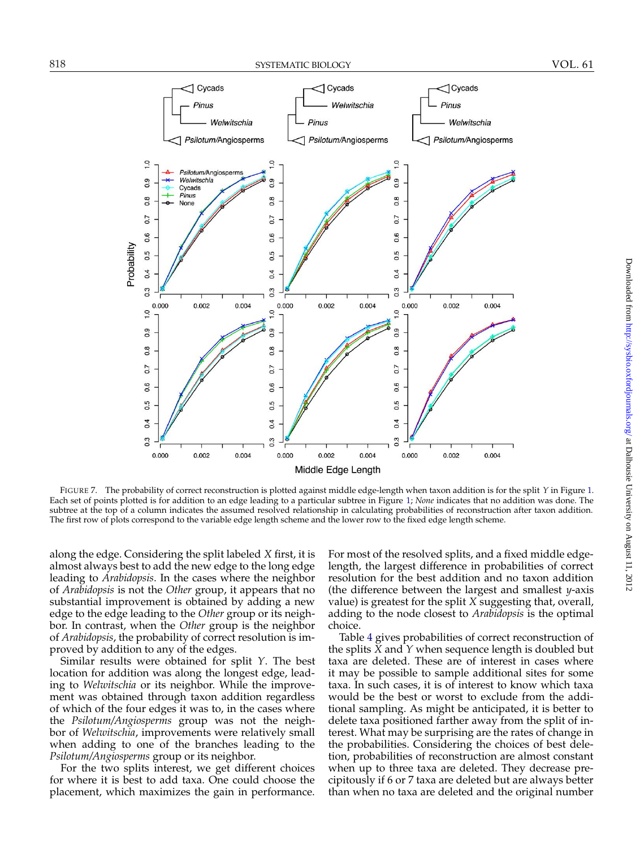<span id="page-7-0"></span>

FIGURE 7. The probability of correct reconstruction is plotted against middle edge-length when taxon addition is for the split *Y* in Figure [1](#page-1-0). Each set of points plotted is for addition to an edge leading to a particular subtree in Figure [1;](#page-1-0) *None* indicates that no addition was done. The subtree at the top of a column indicates the assumed resolved relationship in calculating probabilities of reconstruction after taxon addition. The first row of plots correspond to the variable edge length scheme and the lower row to the fixed edge length scheme.

along the edge. Considering the split labeled *X* first, it is almost always best to add the new edge to the long edge leading to *Arabidopsis*. In the cases where the neighbor of *Arabidopsis* is not the *Other* group, it appears that no substantial improvement is obtained by adding a new edge to the edge leading to the *Other* group or its neighbor. In contrast, when the *Other* group is the neighbor of *Arabidopsis*, the probability of correct resolution is improved by addition to any of the edges.

Similar results were obtained for split *Y*. The best location for addition was along the longest edge, leading to *Welwitschia* or its neighbor. While the improvement was obtained through taxon addition regardless of which of the four edges it was to, in the cases where the *Psilotum/Angiosperms* group was not the neighbor of *Welwitschia*, improvements were relatively small when adding to one of the branches leading to the *Psilotum/Angiosperms* group or its neighbor.

For the two splits interest, we get different choices for where it is best to add taxa. One could choose the placement, which maximizes the gain in performance. For most of the resolved splits, and a fixed middle edgelength, the largest difference in probabilities of correct resolution for the best addition and no taxon addition (the difference between the largest and smallest *y*-axis value) is greatest for the split *X* suggesting that, overall, adding to the node closest to *Arabidopsis* is the optimal choice.

Table [4](#page-8-0) gives probabilities of correct reconstruction of the splits *X* and *Y* when sequence length is doubled but taxa are deleted. These are of interest in cases where it may be possible to sample additional sites for some taxa. In such cases, it is of interest to know which taxa would be the best or worst to exclude from the additional sampling. As might be anticipated, it is better to delete taxa positioned farther away from the split of interest. What may be surprising are the rates of change in the probabilities. Considering the choices of best deletion, probabilities of reconstruction are almost constant when up to three taxa are deleted. They decrease precipitously if 6 or 7 taxa are deleted but are always better than when no taxa are deleted and the original number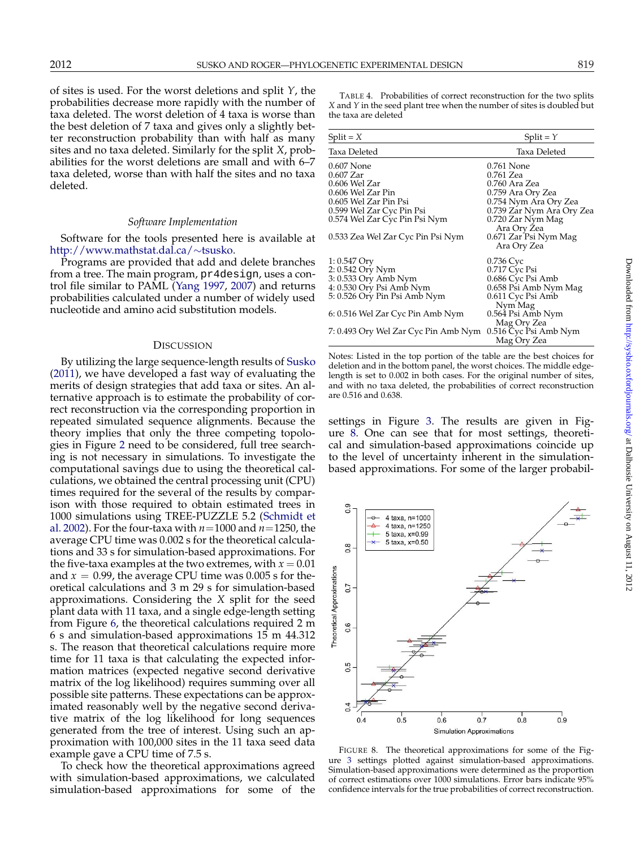<span id="page-8-0"></span>of sites is used. For the worst deletions and split *Y*, the probabilities decrease more rapidly with the number of taxa deleted. The worst deletion of 4 taxa is worse than the best deletion of 7 taxa and gives only a slightly better reconstruction probability than with half as many sites and no taxa deleted. Similarly for the split *X*, probabilities for the worst deletions are small and with 6–7 taxa deleted, worse than with half the sites and no taxa deleted.

# *Software Implementation*

Software for the tools presented here is available at [http://www.mathstat.dal.ca/](http://www.mathstat.dal.ca/~tsusko)∼tsusko.

Programs are provided that add and delete branches from a tree. The main program, pr4design, uses a control file similar to PAML ([Yang 1997](#page-10-0), [2007\)](#page-10-0) and returns probabilities calculated under a number of widely used nucleotide and amino acid substitution models.

#### **DISCUSSION**

By utilizing the large sequence-length results of [Susko](#page-10-0) [\(2011](#page-10-0)), we have developed a fast way of evaluating the merits of design strategies that add taxa or sites. An alternative approach is to estimate the probability of correct reconstruction via the corresponding proportion in repeated simulated sequence alignments. Because the theory implies that only the three competing topologies in Figure [2](#page-1-0) need to be considered, full tree searching is not necessary in simulations. To investigate the computational savings due to using the theoretical calculations, we obtained the central processing unit (CPU) times required for the several of the results by comparison with those required to obtain estimated trees in 1000 simulations using TREE-PUZZLE 5.2 ([Schmidt et](#page-10-0) [al. 2002](#page-10-0)). For the four-taxa with *n*=1000 and *n*=1250, the average CPU time was 0.002 s for the theoretical calculations and 33 s for simulation-based approximations. For the five-taxa examples at the two extremes, with  $x = 0.01$ and  $x = 0.99$ , the average CPU time was  $0.005$  s for theoretical calculations and 3 m 29 s for simulation-based approximations. Considering the *X* split for the seed plant data with 11 taxa, and a single edge-length setting from Figure [6,](#page-6-0) the theoretical calculations required 2 m 6 s and simulation-based approximations 15 m 44.312 s. The reason that theoretical calculations require more time for 11 taxa is that calculating the expected information matrices (expected negative second derivative matrix of the log likelihood) requires summing over all possible site patterns. These expectations can be approximated reasonably well by the negative second derivative matrix of the log likelihood for long sequences generated from the tree of interest. Using such an approximation with 100,000 sites in the 11 taxa seed data example gave a CPU time of 7.5 s.

To check how the theoretical approximations agreed with simulation-based approximations, we calculated simulation-based approximations for some of the

TABLE 4. Probabilities of correct reconstruction for the two splits *X* and *Y* in the seed plant tree when the number of sites is doubled but the taxa are deleted

| $Split = X$                          | $Split = Y$               |
|--------------------------------------|---------------------------|
| Taxa Deleted                         | Taxa Deleted              |
| 0.607 None                           | 0.761 None                |
| $0.607$ Zar                          | 0.761 Zea                 |
| 0.606 Wel Zar                        | 0.760 Ara Zea             |
| 0.606 Wel Zar Pin                    | 0.759 Ara Ory Zea         |
| 0.605 Wel Zar Pin Psi                | 0.754 Nym Ara Ory Zea     |
| 0.599 Wel Zar Cyc Pin Psi            | 0.739 Zar Nym Ara Ory Zea |
| 0.574 Wel Zar Cyc Pin Psi Nym        | 0.720 Zar Nym Mag         |
|                                      | Ara Ory Zea               |
| 0.533 Zea Wel Zar Cyc Pin Psi Nym    | 0.671 Zar Psi Nym Mag     |
|                                      | Ara Ory Zea               |
| $1: 0.547$ Ory                       | 0.736 Cyc                 |
| 2: 0.542 Ory Nym                     | 0.717 Cyc Psi             |
| 3: 0.533 Ory Amb Nym                 | 0.686 Cyc Psi Amb         |
| 4: 0.530 Ory Psi Amb Nym             | 0.658 Psi Amb Nym Mag     |
| 5: 0.526 Ory Pin Psi Amb Nym         | 0.611 Cyc Psi Amb         |
|                                      | Nym Mag                   |
| 6: 0.516 Wel Zar Cyc Pin Amb Nym     | 0.564 Psi Amb Nym         |
|                                      | Mag Ory Zea               |
| 7: 0.493 Ory Wel Zar Cyc Pin Amb Nym | 0.516 Cyc Psi Amb Nym     |
|                                      | Mag Ory Zea               |
|                                      |                           |

Notes: Listed in the top portion of the table are the best choices for deletion and in the bottom panel, the worst choices. The middle edgelength is set to 0.002 in both cases. For the original number of sites, and with no taxa deleted, the probabilities of correct reconstruction are 0.516 and 0.638.

settings in Figure [3](#page-3-0). The results are given in Figure 8. One can see that for most settings, theoretical and simulation-based approximations coincide up to the level of uncertainty inherent in the simulationbased approximations. For some of the larger probabil-



FIGURE 8. The theoretical approximations for some of the Figure [3](#page-3-0) settings plotted against simulation-based approximations. Simulation-based approximations were determined as the proportion of correct estimations over 1000 simulations. Error bars indicate 95% confidence intervals for the true probabilities of correct reconstruction.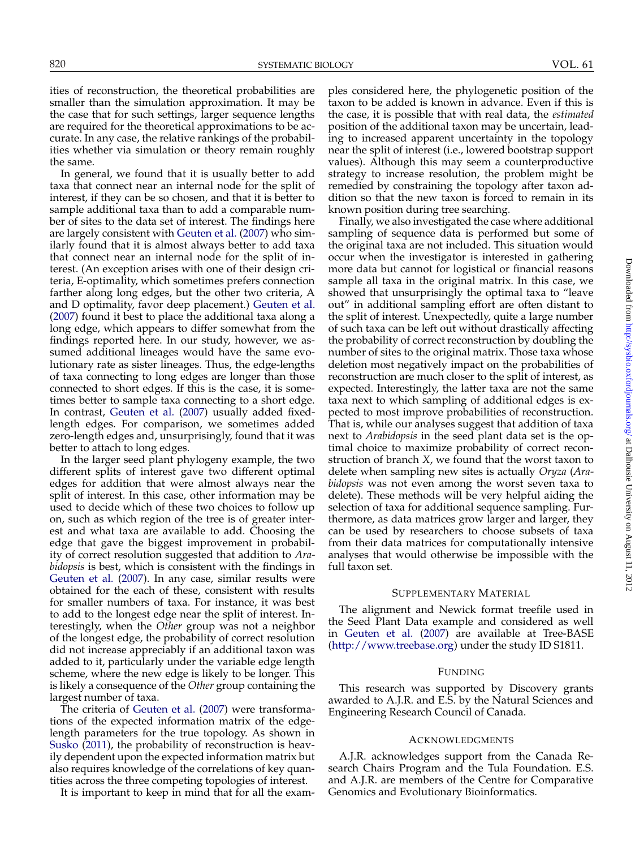SYSTEMATIC BIOLOGY VOL. 61

ities of reconstruction, the theoretical probabilities are smaller than the simulation approximation. It may be the case that for such settings, larger sequence lengths are required for the theoretical approximations to be accurate. In any case, the relative rankings of the probabilities whether via simulation or theory remain roughly the same.

In general, we found that it is usually better to add taxa that connect near an internal node for the split of interest, if they can be so chosen, and that it is better to sample additional taxa than to add a comparable number of sites to the data set of interest. The findings here are largely consistent with [Geuten et al.](#page-10-0) [\(2007](#page-10-0)) who similarly found that it is almost always better to add taxa that connect near an internal node for the split of interest. (An exception arises with one of their design criteria, E-optimality, which sometimes prefers connection farther along long edges, but the other two criteria, A and D optimality, favor deep placement.) [Geuten et al.](#page-10-0) [\(2007](#page-10-0)) found it best to place the additional taxa along a long edge, which appears to differ somewhat from the findings reported here. In our study, however, we assumed additional lineages would have the same evolutionary rate as sister lineages. Thus, the edge-lengths of taxa connecting to long edges are longer than those connected to short edges. If this is the case, it is sometimes better to sample taxa connecting to a short edge. In contrast, [Geuten et al.](#page-10-0) ([2007](#page-10-0)) usually added fixedlength edges. For comparison, we sometimes added zero-length edges and, unsurprisingly, found that it was better to attach to long edges.

In the larger seed plant phylogeny example, the two different splits of interest gave two different optimal edges for addition that were almost always near the split of interest. In this case, other information may be used to decide which of these two choices to follow up on, such as which region of the tree is of greater interest and what taxa are available to add. Choosing the edge that gave the biggest improvement in probability of correct resolution suggested that addition to *Arabidopsis* is best, which is consistent with the findings in [Geuten et al.](#page-10-0) [\(2007](#page-10-0)). In any case, similar results were obtained for the each of these, consistent with results for smaller numbers of taxa. For instance, it was best to add to the longest edge near the split of interest. Interestingly, when the *Other* group was not a neighbor of the longest edge, the probability of correct resolution did not increase appreciably if an additional taxon was added to it, particularly under the variable edge length scheme, where the new edge is likely to be longer. This is likely a consequence of the *Other* group containing the largest number of taxa.

The criteria of [Geuten et al.](#page-10-0) [\(2007](#page-10-0)) were transformations of the expected information matrix of the edgelength parameters for the true topology. As shown in [Susko](#page-10-0) ([2011\)](#page-10-0), the probability of reconstruction is heavily dependent upon the expected information matrix but also requires knowledge of the correlations of key quantities across the three competing topologies of interest.

It is important to keep in mind that for all the exam-

ples considered here, the phylogenetic position of the taxon to be added is known in advance. Even if this is the case, it is possible that with real data, the *estimated* position of the additional taxon may be uncertain, leading to increased apparent uncertainty in the topology near the split of interest (i.e., lowered bootstrap support values). Although this may seem a counterproductive strategy to increase resolution, the problem might be remedied by constraining the topology after taxon addition so that the new taxon is forced to remain in its known position during tree searching.

Finally, we also investigated the case where additional sampling of sequence data is performed but some of the original taxa are not included. This situation would occur when the investigator is interested in gathering more data but cannot for logistical or financial reasons sample all taxa in the original matrix. In this case, we showed that unsurprisingly the optimal taxa to "leave out" in additional sampling effort are often distant to the split of interest. Unexpectedly, quite a large number of such taxa can be left out without drastically affecting the probability of correct reconstruction by doubling the number of sites to the original matrix. Those taxa whose deletion most negatively impact on the probabilities of reconstruction are much closer to the split of interest, as expected. Interestingly, the latter taxa are not the same taxa next to which sampling of additional edges is expected to most improve probabilities of reconstruction. That is, while our analyses suggest that addition of taxa next to *Arabidopsis* in the seed plant data set is the optimal choice to maximize probability of correct reconstruction of branch *X*, we found that the worst taxon to delete when sampling new sites is actually *Oryza* (*Arabidopsis* was not even among the worst seven taxa to delete). These methods will be very helpful aiding the selection of taxa for additional sequence sampling. Furthermore, as data matrices grow larger and larger, they can be used by researchers to choose subsets of taxa from their data matrices for computationally intensive analyses that would otherwise be impossible with the full taxon set.

### SUPPLEMENTARY MATERIAL

The alignment and Newick format treefile used in the Seed Plant Data example and considered as well in [Geuten et al.](#page-10-0) ([2007\)](#page-10-0) are available at Tree-BASE [\(http://www.treebase.org\)](http://www.treebase.org) under the study ID S1811.

#### FUNDING

This research was supported by Discovery grants awarded to A.J.R. and E.S. by the Natural Sciences and Engineering Research Council of Canada.

#### ACKNOWLEDGMENTS

A.J.R. acknowledges support from the Canada Research Chairs Program and the Tula Foundation. E.S. and A.J.R. are members of the Centre for Comparative Genomics and Evolutionary Bioinformatics.